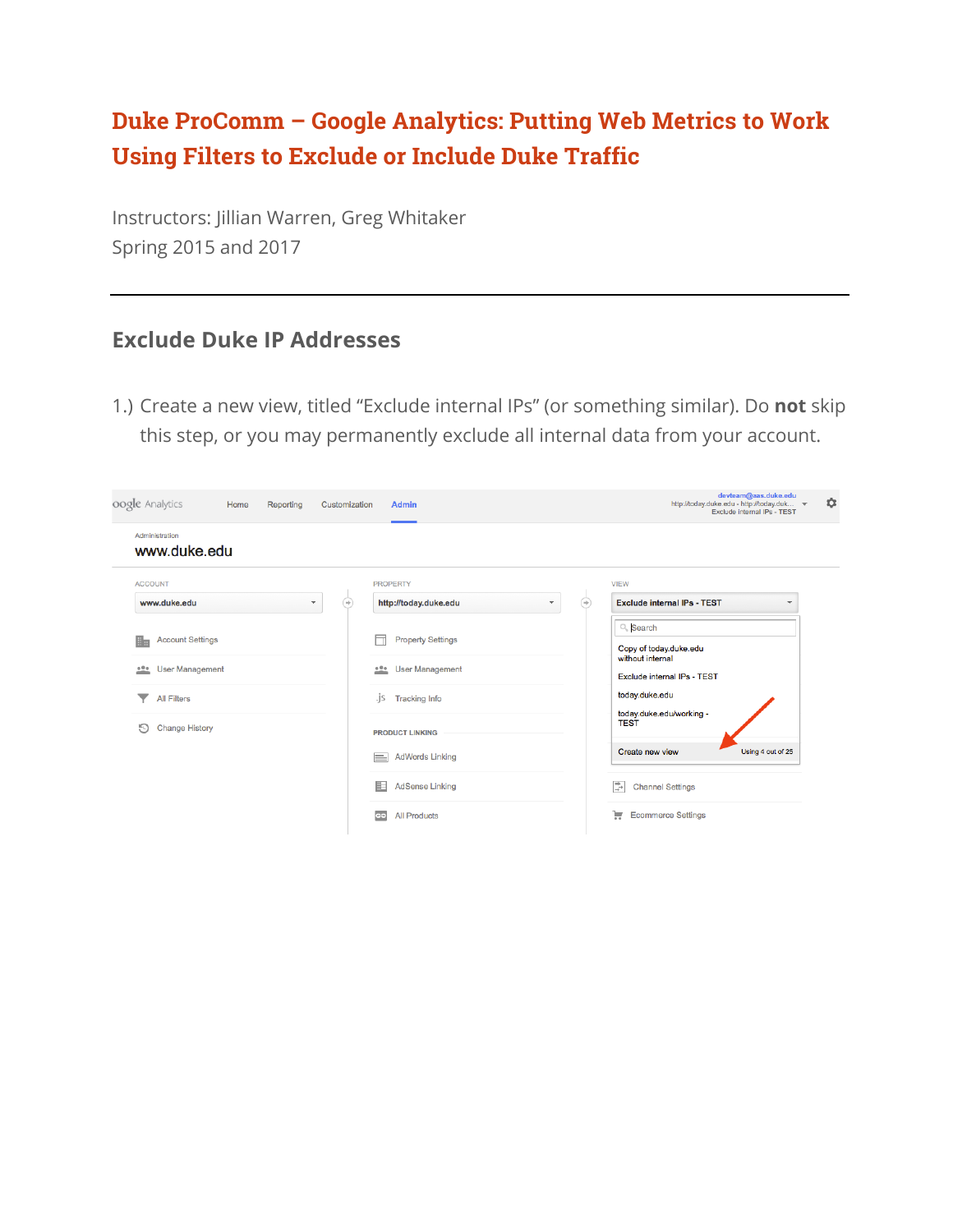#### **Duke ProComm – Google Analytics: Putting Web Metrics to Work Using Filters to Exclude or Include Duke Traffic**

Instructors: Jillian Warren, Greg Whitaker Spring 2015 and 2017

#### **Exclude Duke IP Addresses**

1.) Create a new view, titled "Exclude internal IPs" (or something similar). Do **not** skip this step, or you may permanently exclude all internal data from your account.

| oogle Analytics<br>Home<br>Reporting | Customization<br><b>Admin</b>       | devteam@aas.duke.edu<br>۰<br>http://today.duke.edu - http://today.duk ~<br>Exclude internal IPs - TEST |
|--------------------------------------|-------------------------------------|--------------------------------------------------------------------------------------------------------|
| Administration<br>www.duke.edu       |                                     |                                                                                                        |
| <b>ACCOUNT</b>                       | <b>PROPERTY</b>                     | <b>VIEW</b>                                                                                            |
| www.duke.edu<br>v                    | http://today.duke.edu<br>⊛          | $\circledast$<br><b>Exclude internal IPs - TEST</b><br>$\overline{\phantom{a}}$<br>٠                   |
| <b>Account Settings</b><br>風         | <b>Property Settings</b><br>h       | Q Search<br>Copy of today.duke.edu                                                                     |
| <b>User Management</b><br>000        | <b>User Management</b><br>$100 - 1$ | without internal<br>Exclude internal IPs - TEST                                                        |
| <b>All Filters</b>                   | .js<br><b>Tracking Info</b>         | today.duke.edu<br>today.duke.edu/working -                                                             |
| Ð<br><b>Change History</b>           | <b>PRODUCT LINKING</b>              | <b>TEST</b>                                                                                            |
|                                      | <b>AdWords Linking</b><br>$\equiv$  | Create new view<br>Using 4 out of 25                                                                   |
|                                      | 臣<br><b>AdSense Linking</b>         | Ç.<br><b>Channel Settings</b>                                                                          |
|                                      | ෛ<br><b>All Products</b>            | π<br><b>Ecommerce Settings</b>                                                                         |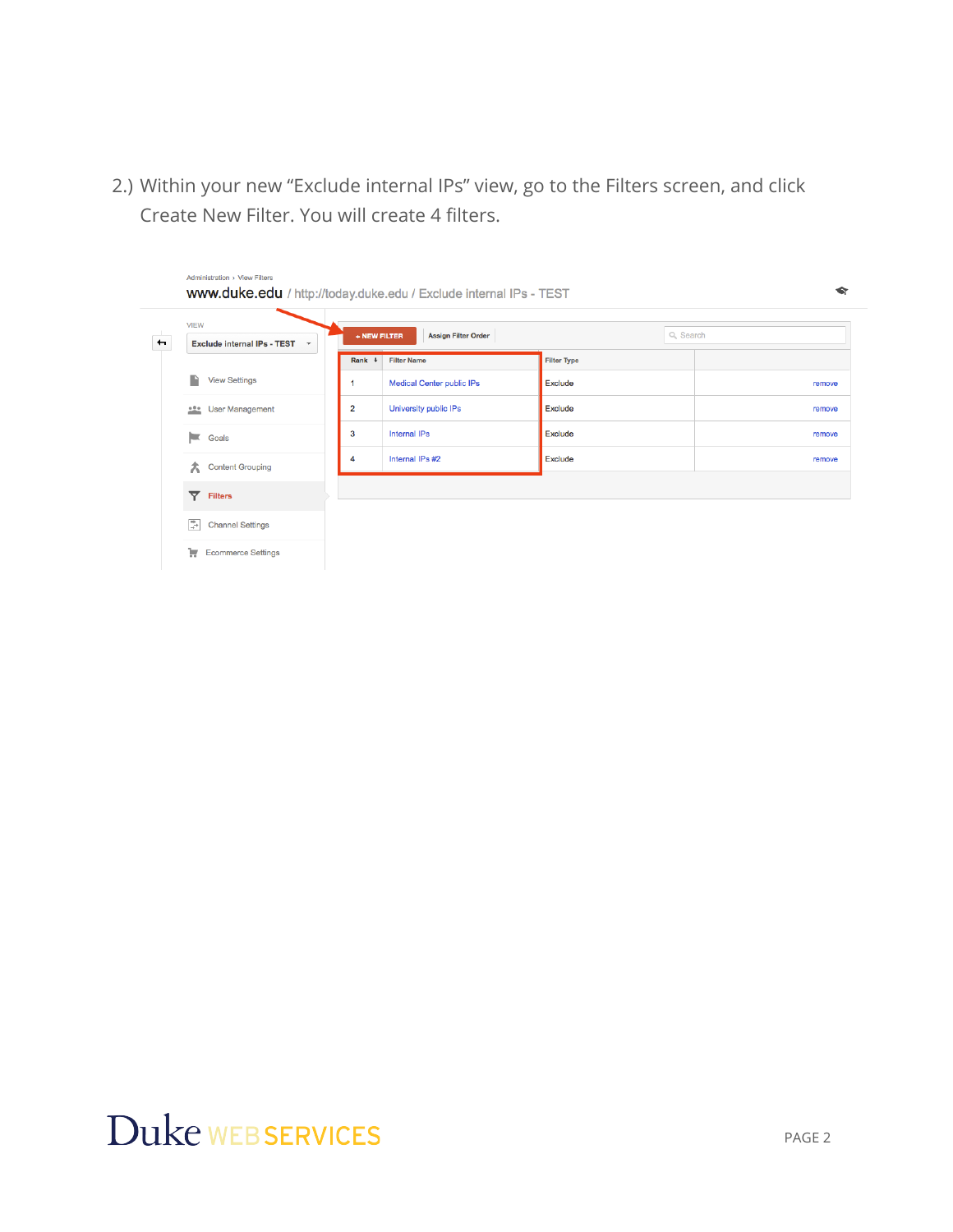2.) Within your new "Exclude internal IPs" view, go to the Filters screen, and click Create New Filter. You will create 4 filters.

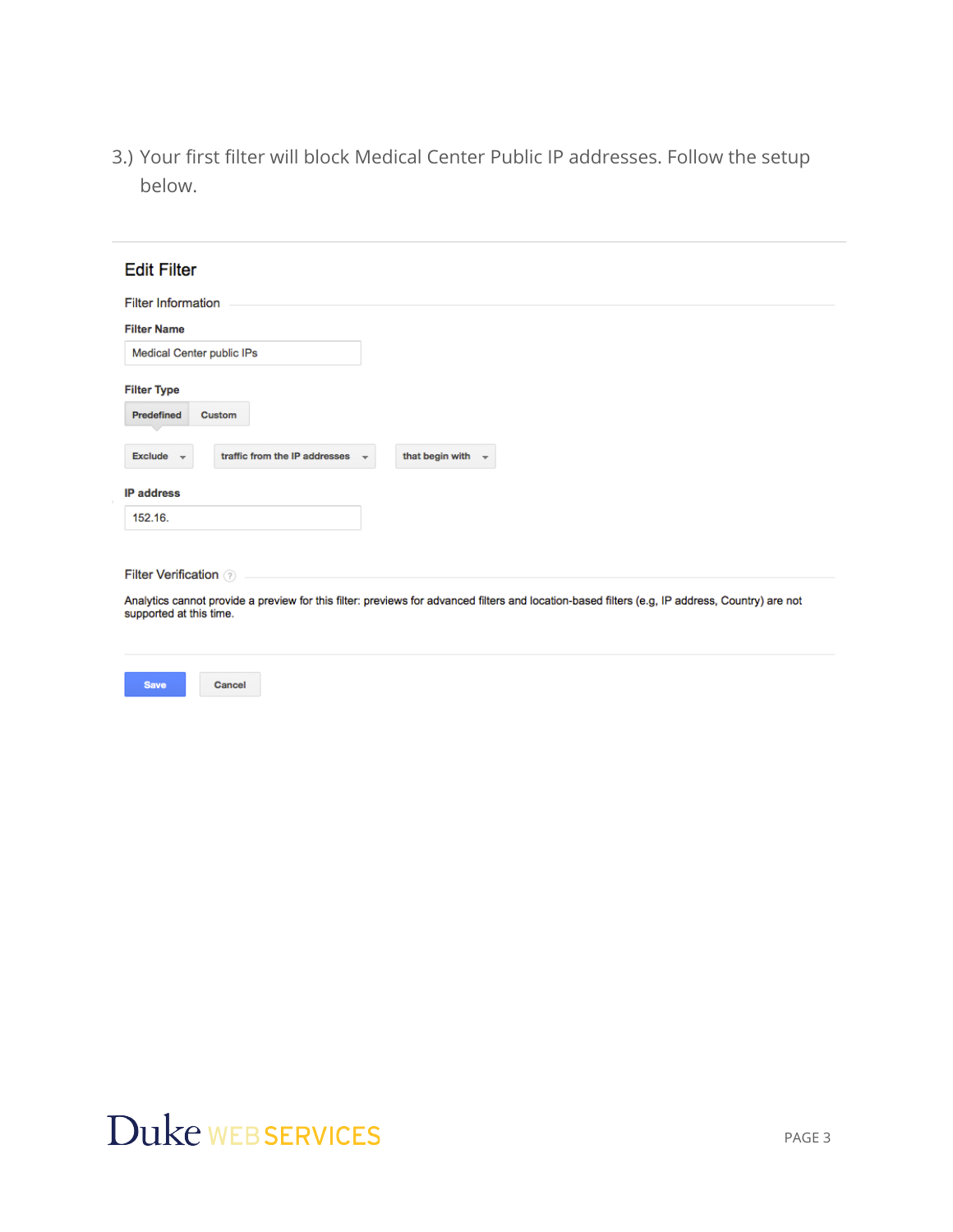3.) Your first filter will block Medical Center Public IP addresses. Follow the setup below.

| <b>Edit Filter</b>                                              |                                                                                                                                                 |
|-----------------------------------------------------------------|-------------------------------------------------------------------------------------------------------------------------------------------------|
|                                                                 |                                                                                                                                                 |
| <b>Filter Information</b>                                       |                                                                                                                                                 |
| <b>Filter Name</b>                                              |                                                                                                                                                 |
| Medical Center public IPs                                       |                                                                                                                                                 |
| <b>Filter Type</b>                                              |                                                                                                                                                 |
| <b>Predefined</b><br><b>Custom</b>                              |                                                                                                                                                 |
| traffic from the IP addresses<br><b>Exclude</b><br>$\mathbf{v}$ | that begin with                                                                                                                                 |
| <b>IP</b> address                                               |                                                                                                                                                 |
| 152.16.                                                         |                                                                                                                                                 |
| <b>Filter Verification</b> ?                                    |                                                                                                                                                 |
|                                                                 |                                                                                                                                                 |
| supported at this time.                                         | Analytics cannot provide a preview for this filter: previews for advanced filters and location-based filters (e.g, IP address, Country) are not |
|                                                                 |                                                                                                                                                 |



Save

Cancel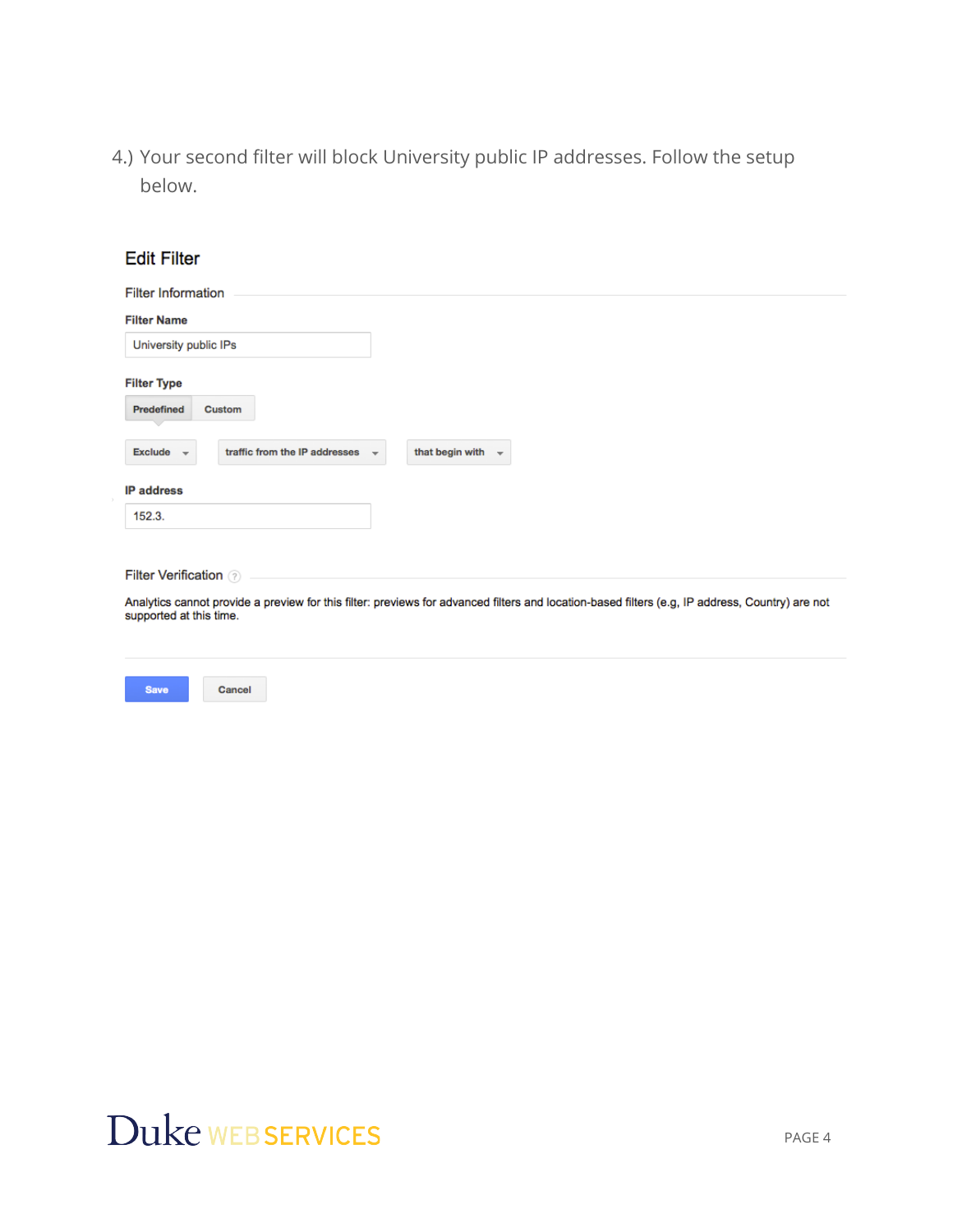4.) Your second filter will block University public IP addresses. Follow the setup below.

| <b>Edit Filter</b>                                                                                                                                                         |
|----------------------------------------------------------------------------------------------------------------------------------------------------------------------------|
| <b>Filter Information</b>                                                                                                                                                  |
| <b>Filter Name</b>                                                                                                                                                         |
| University public IPs                                                                                                                                                      |
| <b>Filter Type</b><br><b>Predefined</b><br>Custom                                                                                                                          |
| traffic from the IP addresses<br>that begin with $\rightarrow$<br><b>Exclude</b><br>$\overline{\phantom{a}}$<br>$\mathbf{v}$                                               |
| <b>IP</b> address                                                                                                                                                          |
| 152.3.                                                                                                                                                                     |
| <b>Filter Verification 2</b>                                                                                                                                               |
| Analytics cannot provide a preview for this filter: previews for advanced filters and location-based filters (e.g, IP address, Country) are not<br>supported at this time. |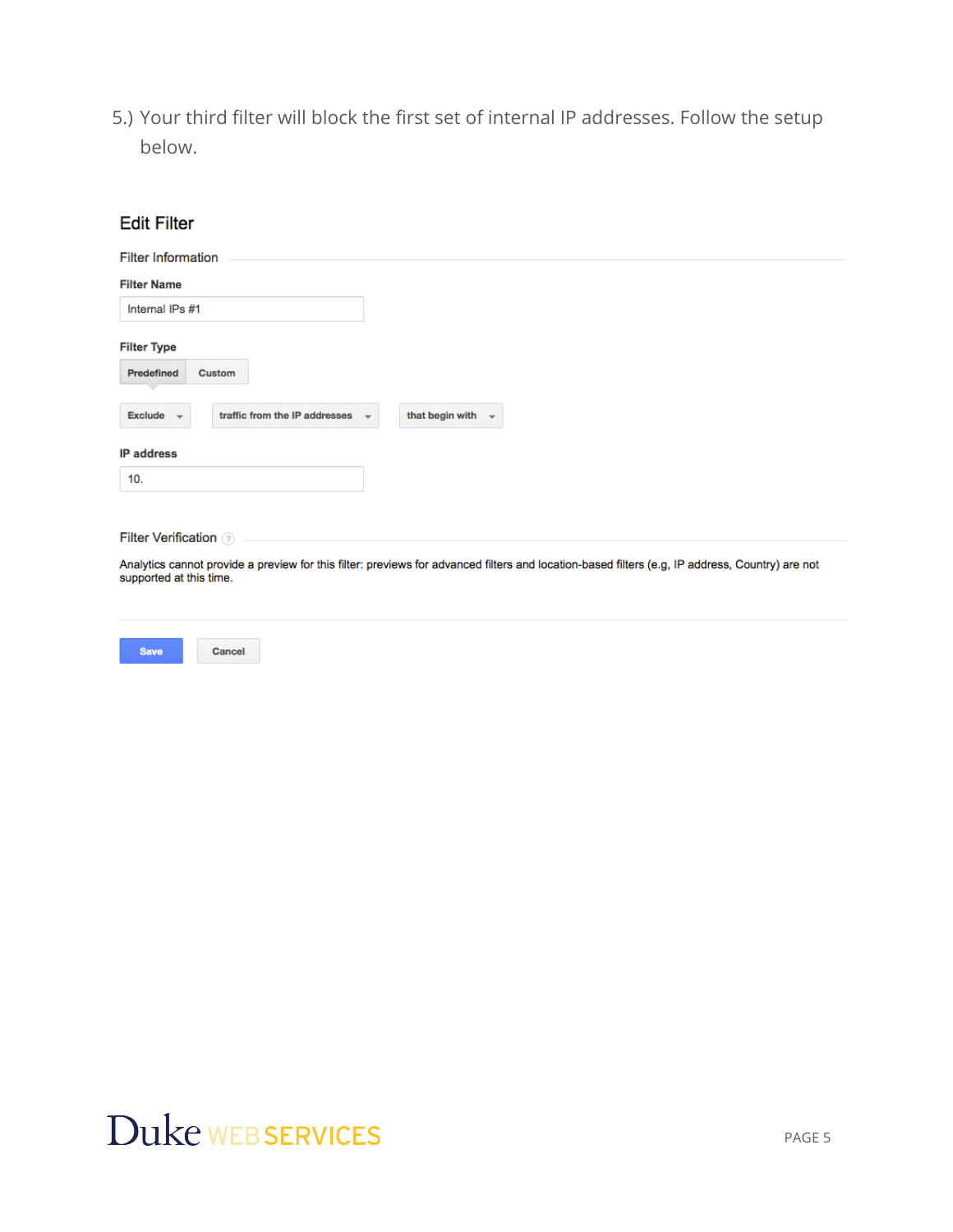5.) Your third filter will block the first set of internal IP addresses. Follow the setup below.

| <b>Edit Filter</b>                                                          |                                                                                                                                                 |
|-----------------------------------------------------------------------------|-------------------------------------------------------------------------------------------------------------------------------------------------|
| <b>Filter Information</b>                                                   |                                                                                                                                                 |
| <b>Filter Name</b>                                                          |                                                                                                                                                 |
| Internal IPs #1                                                             |                                                                                                                                                 |
| <b>Filter Type</b>                                                          |                                                                                                                                                 |
| Predefined<br>Custom                                                        |                                                                                                                                                 |
| traffic from the IP addresses<br><b>Exclude</b><br>$\overline{\phantom{a}}$ | that begin with<br>$\overline{\phantom{a}}$                                                                                                     |
| <b>IP</b> address                                                           |                                                                                                                                                 |
| 10.                                                                         |                                                                                                                                                 |
| <b>Filter Verification (?)</b>                                              |                                                                                                                                                 |
| supported at this time.                                                     | Analytics cannot provide a preview for this filter: previews for advanced filters and location-based filters (e.g, IP address, Country) are not |
|                                                                             |                                                                                                                                                 |

## Duke WEB SERVICES

Cancel

Save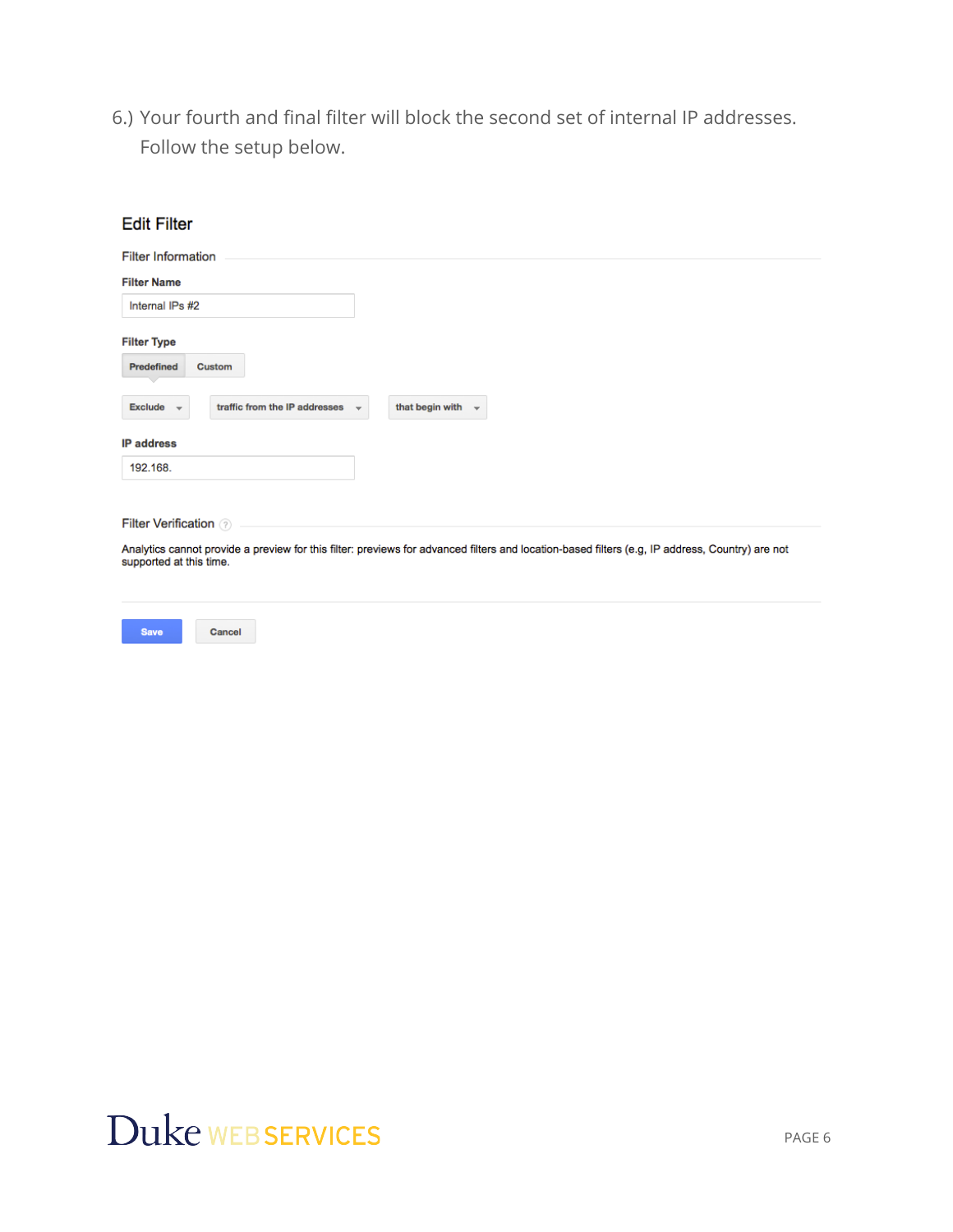6.) Your fourth and final filter will block the second set of internal IP addresses. Follow the setup below.

| <b>Edit Filter</b>                                                         |                                        |
|----------------------------------------------------------------------------|----------------------------------------|
| <b>Filter Information</b>                                                  |                                        |
| <b>Filter Name</b>                                                         |                                        |
| Internal IPs #2                                                            |                                        |
| <b>Filter Type</b>                                                         |                                        |
| Predefined<br>Custom                                                       |                                        |
| <b>Exclude</b><br>traffic from the IP addresses<br>$\overline{\mathbf{v}}$ | that begin with $\sim$<br>$\mathbf{v}$ |
| <b>IP address</b>                                                          |                                        |
| 192.168.                                                                   |                                        |
|                                                                            |                                        |
| <b>Filter Verification</b> ?                                               |                                        |

Analytics cannot provide a preview for this filter: previews for advanced filters and location-based filters (e.g, IP address, Country) are not supported at this time.

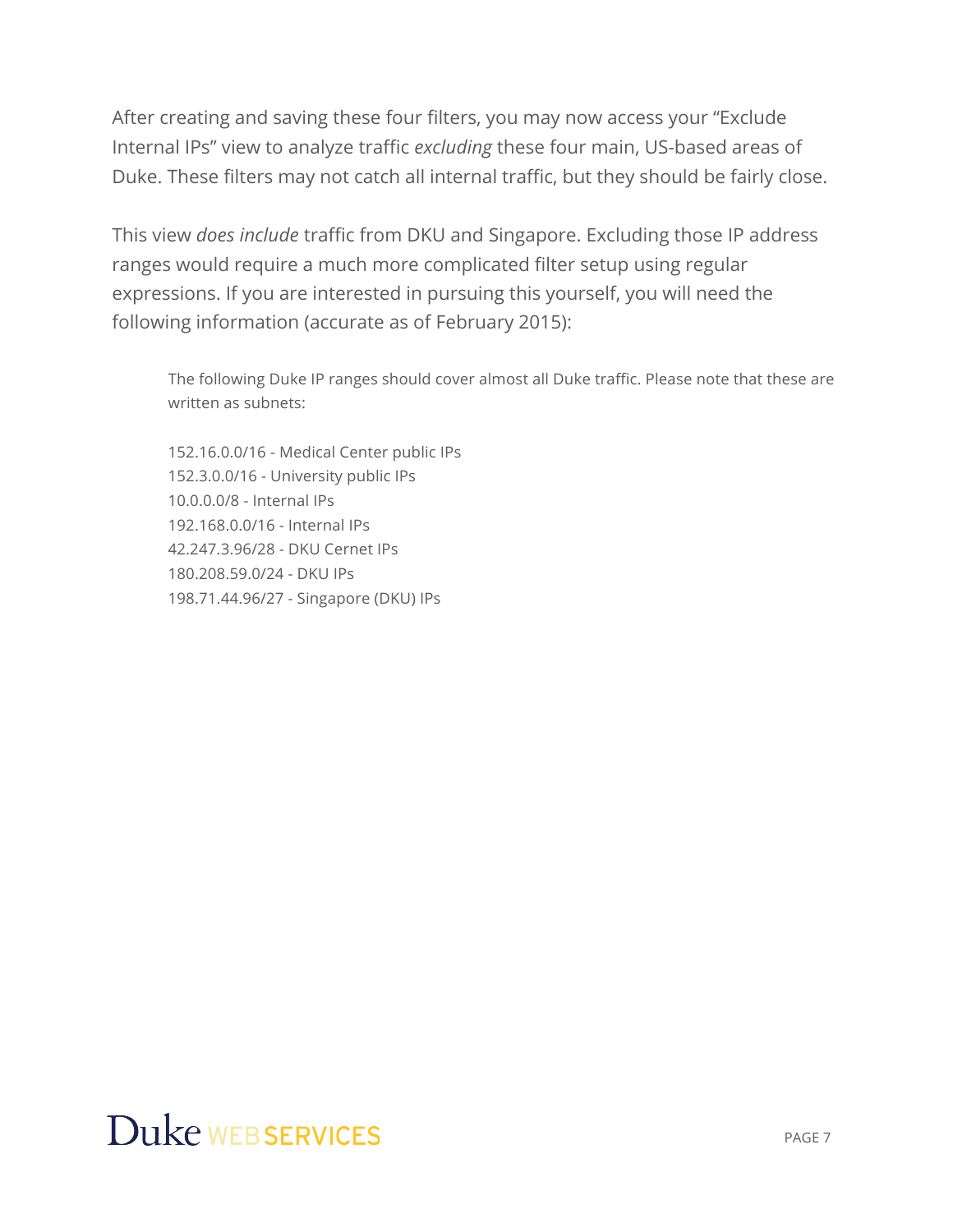After creating and saving these four filters, you may now access your "Exclude Internal IPs" view to analyze traffic *excluding* these four main, US-based areas of Duke. These filters may not catch all internal traffic, but they should be fairly close.

This view *does include* traffic from DKU and Singapore. Excluding those IP address ranges would require a much more complicated filter setup using regular expressions. If you are interested in pursuing this yourself, you will need the following information (accurate as of February 2015):

The following Duke IP ranges should cover almost all Duke traffic. Please note that these are written as subnets:

152.16.0.0/16 - Medical Center public IPs 152.3.0.0/16 - University public IPs 10.0.0.0/8 - Internal IPs 192.168.0.0/16 - Internal IPs 42.247.3.96/28 - DKU Cernet IPs 180.208.59.0/24 - DKU IPs 198.71.44.96/27 - Singapore (DKU) IPs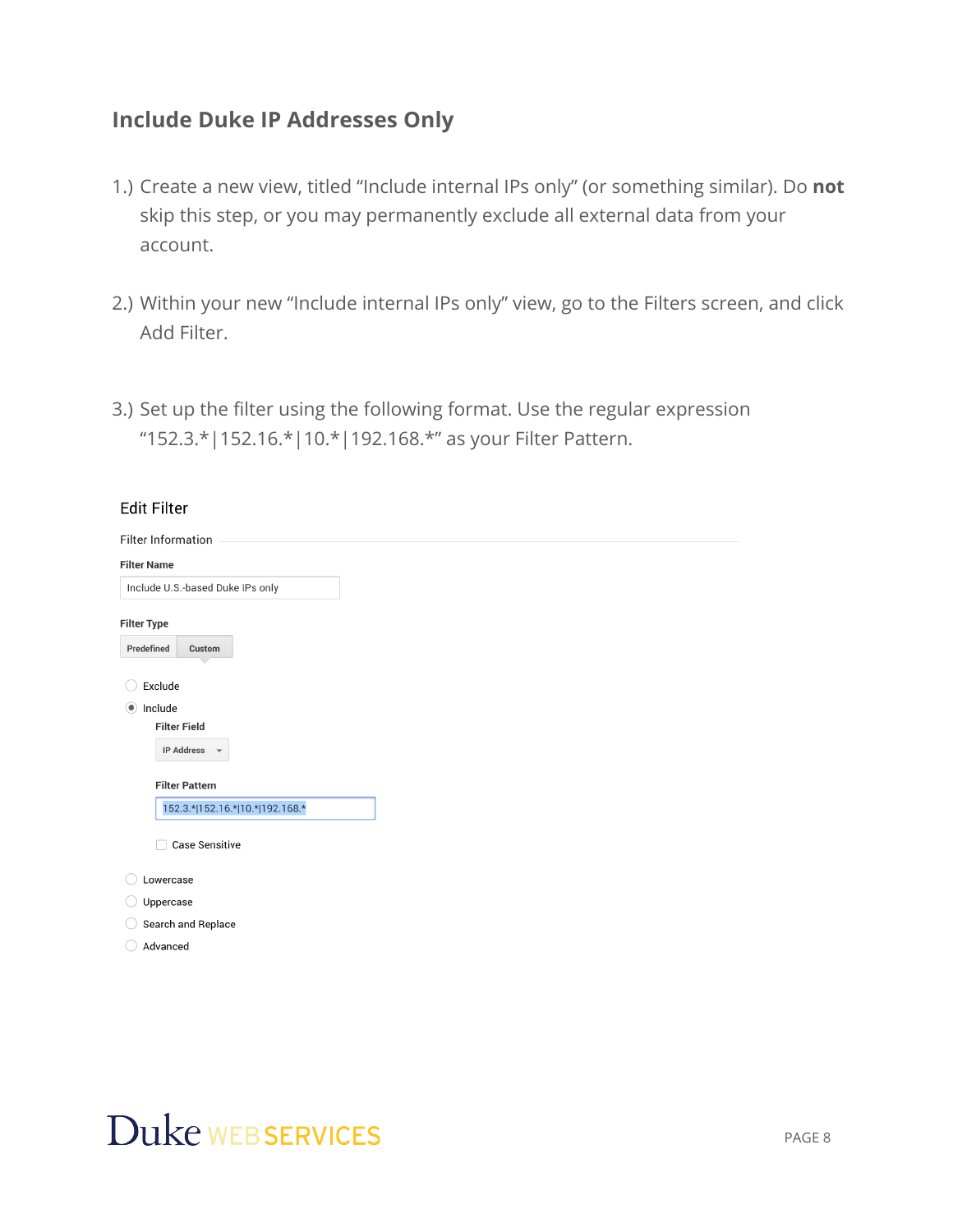#### **Include Duke IP Addresses Only**

- 1.) Create a new view, titled "Include internal IPs only" (or something similar). Do **not** skip this step, or you may permanently exclude all external data from your account.
- 2.) Within your new "Include internal IPs only" view, go to the Filters screen, and click Add Filter.
- 3.) Set up the filter using the following format. Use the regular expression "152.3.\*|152.16.\*|10.\*|192.168.\*" as your Filter Pattern.

| <b>Edit Filter</b>                            |
|-----------------------------------------------|
| Filter Information                            |
| <b>Filter Name</b>                            |
| Include U.S.-based Duke IPs only              |
| <b>Filter Type</b><br>Predefined<br>Custom    |
| Exclude                                       |
| Include<br>$\circledcirc$                     |
| <b>Filter Field</b>                           |
| <b>IP Address</b><br>$\overline{\phantom{a}}$ |
| <b>Filter Pattern</b>                         |
| 152.3.* 152.16.* 10.* 192.168.*               |
| <b>Case Sensitive</b>                         |
| Lowercase                                     |
| Uppercase                                     |
| Search and Replace                            |
| Advanced                                      |
|                                               |